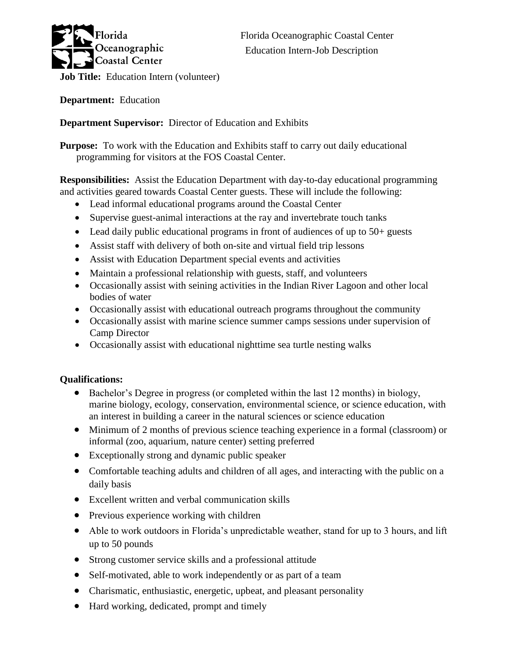

**Department:** Education

# **Department Supervisor:** Director of Education and Exhibits

**Purpose:** To work with the Education and Exhibits staff to carry out daily educational programming for visitors at the FOS Coastal Center.

**Responsibilities:** Assist the Education Department with day-to-day educational programming and activities geared towards Coastal Center guests. These will include the following:

- Lead informal educational programs around the Coastal Center
- Supervise guest-animal interactions at the ray and invertebrate touch tanks
- Lead daily public educational programs in front of audiences of up to 50+ guests
- Assist staff with delivery of both on-site and virtual field trip lessons
- Assist with Education Department special events and activities
- Maintain a professional relationship with guests, staff, and volunteers
- Occasionally assist with seining activities in the Indian River Lagoon and other local bodies of water
- Occasionally assist with educational outreach programs throughout the community
- Occasionally assist with marine science summer camps sessions under supervision of Camp Director
- Occasionally assist with educational nighttime sea turtle nesting walks

## **Qualifications:**

- Bachelor's Degree in progress (or completed within the last 12 months) in biology, marine biology, ecology, conservation, environmental science, or science education, with an interest in building a career in the natural sciences or science education
- Minimum of 2 months of previous science teaching experience in a formal (classroom) or informal (zoo, aquarium, nature center) setting preferred
- Exceptionally strong and dynamic public speaker
- Comfortable teaching adults and children of all ages, and interacting with the public on a daily basis
- Excellent written and verbal communication skills
- Previous experience working with children
- Able to work outdoors in Florida's unpredictable weather, stand for up to 3 hours, and lift up to 50 pounds
- Strong customer service skills and a professional attitude
- Self-motivated, able to work independently or as part of a team
- Charismatic, enthusiastic, energetic, upbeat, and pleasant personality
- Hard working, dedicated, prompt and timely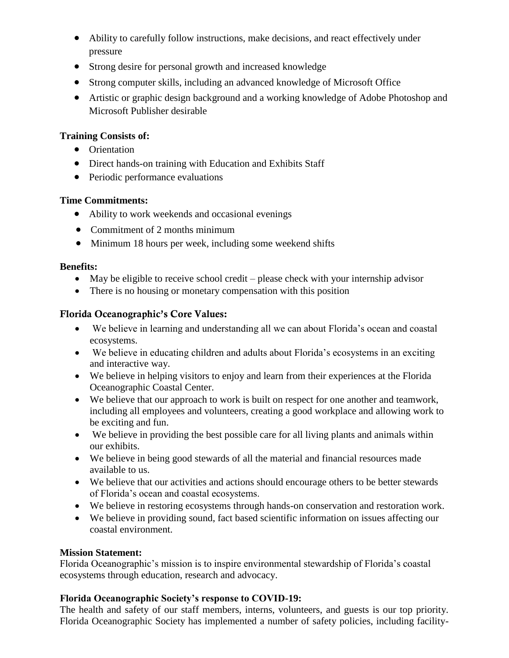- Ability to carefully follow instructions, make decisions, and react effectively under pressure
- Strong desire for personal growth and increased knowledge
- Strong computer skills, including an advanced knowledge of Microsoft Office
- Artistic or graphic design background and a working knowledge of Adobe Photoshop and Microsoft Publisher desirable

### **Training Consists of:**

- Orientation
- Direct hands-on training with Education and Exhibits Staff
- Periodic performance evaluations

#### **Time Commitments:**

- Ability to work weekends and occasional evenings
- Commitment of 2 months minimum
- Minimum 18 hours per week, including some weekend shifts

#### **Benefits:**

- May be eligible to receive school credit please check with your internship advisor
- There is no housing or monetary compensation with this position

## Florida Oceanographic's Core Values:

- We believe in learning and understanding all we can about Florida's ocean and coastal ecosystems.
- We believe in educating children and adults about Florida's ecosystems in an exciting and interactive way.
- We believe in helping visitors to enjoy and learn from their experiences at the Florida Oceanographic Coastal Center.
- We believe that our approach to work is built on respect for one another and teamwork, including all employees and volunteers, creating a good workplace and allowing work to be exciting and fun.
- We believe in providing the best possible care for all living plants and animals within our exhibits.
- We believe in being good stewards of all the material and financial resources made available to us.
- We believe that our activities and actions should encourage others to be better stewards of Florida's ocean and coastal ecosystems.
- We believe in restoring ecosystems through hands-on conservation and restoration work.
- We believe in providing sound, fact based scientific information on issues affecting our coastal environment.

## **Mission Statement:**

Florida Oceanographic's mission is to inspire environmental stewardship of Florida's coastal ecosystems through education, research and advocacy.

## **Florida Oceanographic Society's response to COVID-19:**

The health and safety of our staff members, interns, volunteers, and guests is our top priority. Florida Oceanographic Society has implemented a number of safety policies, including facility